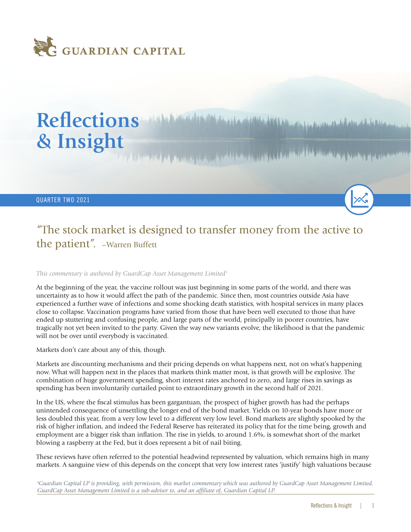

# Reflections *Manufacture Manufacture Address of the Address of the Address of the Address of the Address* **of the Address of the Address of the Address of the Address of the Address of the Address of the Address of the Add & Insight**

QUARTER TWO 2021

## "The stock market is designed to transfer money from the active to the patient". –Warren Buffett

*This commentary is authored by GuardCap Asset Management Limited1*

At the beginning of the year, the vaccine rollout was just beginning in some parts of the world, and there was uncertainty as to how it would affect the path of the pandemic. Since then, most countries outside Asia have experienced a further wave of infections and some shocking death statistics, with hospital services in many places close to collapse. Vaccination programs have varied from those that have been well executed to those that have ended up stuttering and confusing people, and large parts of the world, principally in poorer countries, have tragically not yet been invited to the party. Given the way new variants evolve, the likelihood is that the pandemic will not be over until everybody is vaccinated.

Markets don't care about any of this, though.

Markets are discounting mechanisms and their pricing depends on what happens next, not on what's happening now. What will happen next in the places that markets think matter most, is that growth will be explosive. The combination of huge government spending, short interest rates anchored to zero, and large rises in savings as spending has been involuntarily curtailed point to extraordinary growth in the second half of 2021.

In the US, where the fiscal stimulus has been gargantuan, the prospect of higher growth has had the perhaps unintended consequence of unsettling the longer end of the bond market. Yields on 10-year bonds have more or less doubled this year, from a very low level to a different very low level. Bond markets are slightly spooked by the risk of higher inflation, and indeed the Federal Reserve has reiterated its policy that for the time being, growth and employment are a bigger risk than inflation. The rise in yields, to around 1.6%, is somewhat short of the market blowing a raspberry at the Fed, but it does represent a bit of nail biting.

These reviews have often referred to the potential headwind represented by valuation, which remains high in many markets. A sanguine view of this depends on the concept that very low interest rates 'justify' high valuations because

1 *Guardian Capital LP is providing, with permission, this market commentary which was authored by GuardCap Asset Management Limited. GuardCap Asset Management Limited is a sub-advisor to, and an affiliate of, Guardian Capital LP.*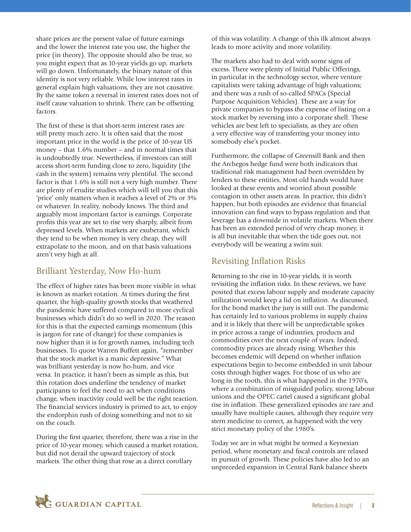share prices are the present value of future earnings and the lower the interest rate you use, the higher the price (in theory). The opposite should also be true, so you might expect that as 10-year yields go up, markets will go down. Unfortunately, the binary nature of this identity is not very reliable. While low interest rates in general explain high valuations, they are not causative. By the same token a reversal in interest rates does not of itself cause valuation to shrink. There can be offsetting factors.

The first of these is that short-term interest rates are still pretty much zero. It is often said that the most important price in the world is the price of 10-year US money – that 1.6% number – and in normal times that is undoubtedly true. Nevertheless, if investors can still access short-term funding close to zero, liquidity (the cash in the system) remains very plentiful. The second factor is that 1.6% is still not a very high number. There are plenty of erudite studies which will tell you that this 'price' only matters when it reaches a level of 2% or 3% or whatever. In reality, nobody knows. The third and arguably most important factor is earnings. Corporate profits this year are set to rise very sharply, albeit from depressed levels. When markets are exuberant, which they tend to be when money is very cheap, they will extrapolate to the moon, and on that basis valuations aren't very high at all.

#### Brilliant Yesterday, Now Ho-hum

The effect of higher rates has been more visible in what is known as market rotation. At times during the first quarter, the high-quality growth stocks that weathered the pandemic have suffered compared to more cyclical businesses which didn't do so well in 2020. The reason for this is that the expected earnings momentum (this is jargon for rate of change) for these companies is now higher than it is for growth names, including tech businesses. To quote Warren Buffett again, "remember that the stock market is a manic depressive." What was brilliant yesterday is now ho-hum, and vice versa. In practice, it hasn't been as simple as this, but this rotation does underline the tendency of market participants to feel the need to act when conditions change, when inactivity could well be the right reaction. The financial services industry is primed to act, to enjoy the endorphin rush of doing something and not to sit on the couch.

During the first quarter, therefore, there was a rise in the price of 10-year money, which caused a market rotation, but did not derail the upward trajectory of stock markets. The other thing that rose as a direct corollary

of this was volatility. A change of this ilk almost always leads to more activity and more volatility.

The markets also had to deal with some signs of excess. There were plenty of Initial Public Offerings, in particular in the technology sector, where venture capitalists were taking advantage of high valuations; and there was a rush of so-called SPACs (Special Purpose Acquisition Vehicles). These are a way for private companies to bypass the expense of listing on a stock market by reversing into a corporate shell. These vehicles are best left to specialists, as they are often a very effective way of transferring your money into somebody else's pocket.

Furthermore, the collapse of Greensill Bank and then the Archegos hedge fund were both indicators that traditional risk management had been overridden by lenders to these entities. Most old hands would have looked at these events and worried about possible contagion in other assets areas. In practice, this didn't happen, but both episodes are evidence that financial innovation can find ways to bypass regulation and that leverage has a downside in volatile markets. When there has been an extended period of very cheap money, it is all but inevitable that when the tide goes out, not everybody will be wearing a swim suit.

### Revisiting Inflation Risks

Returning to the rise in 10-year yields, it is worth revisiting the inflation risks. In these reviews, we have posited that excess labour supply and moderate capacity utilization would keep a lid on inflation. As discussed, for the bond market the jury is still out. The pandemic has certainly led to various problems in supply chains and it is likely that there will be unpredictable spikes in price across a range of industries, products and commodities over the next couple of years. Indeed, commodity prices are already rising. Whether this becomes endemic will depend on whether inflation expectations begin to become embedded in unit labour costs through higher wages. For those of us who are long in the tooth, this is what happened in the 1970's, where a combination of misguided policy, strong labour unions and the OPEC cartel caused a significant global rise in inflation. These generalized episodes are rare and usually have multiple causes, although they require very stern medicine to correct, as happened with the very strict monetary policy of the 1980's.

Today we are in what might be termed a Keynesian period, where monetary and fiscal controls are relaxed in pursuit of growth. These policies have also led to an unpreceded expansion in Central Bank balance sheets

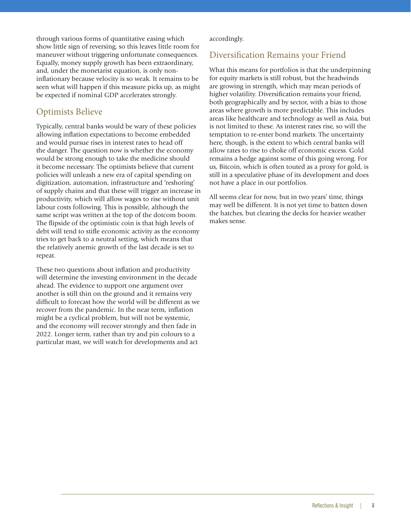through various forms of quantitative easing which show little sign of reversing, so this leaves little room for maneuver without triggering unfortunate consequences. Equally, money supply growth has been extraordinary, and, under the monetarist equation, is only noninflationary because velocity is so weak. It remains to be seen what will happen if this measure picks up, as might be expected if nominal GDP accelerates strongly.

#### Optimists Believe

Typically, central banks would be wary of these policies allowing inflation expectations to become embedded and would pursue rises in interest rates to head off the danger. The question now is whether the economy would be strong enough to take the medicine should it become necessary. The optimists believe that current policies will unleash a new era of capital spending on digitization, automation, infrastructure and 'reshoring' of supply chains and that these will trigger an increase in productivity, which will allow wages to rise without unit labour costs following. This is possible, although the same script was written at the top of the dotcom boom. The flipside of the optimistic coin is that high levels of debt will tend to stifle economic activity as the economy tries to get back to a neutral setting, which means that the relatively anemic growth of the last decade is set to repeat.

These two questions about inflation and productivity will determine the investing environment in the decade ahead. The evidence to support one argument over another is still thin on the ground and it remains very difficult to forecast how the world will be different as we recover from the pandemic. In the near term, inflation might be a cyclical problem, but will not be systemic, and the economy will recover strongly and then fade in 2022. Longer term, rather than try and pin colours to a particular mast, we will watch for developments and act

accordingly.

#### Diversification Remains your Friend

What this means for portfolios is that the underpinning for equity markets is still robust, but the headwinds are growing in strength, which may mean periods of higher volatility. Diversification remains your friend, both geographically and by sector, with a bias to those areas where growth is more predictable. This includes areas like healthcare and technology as well as Asia, but is not limited to these. As interest rates rise, so will the temptation to re-enter bond markets. The uncertainty here, though, is the extent to which central banks will allow rates to rise to choke off economic excess. Gold remains a hedge against some of this going wrong. For us, Bitcoin, which is often touted as a proxy for gold, is still in a speculative phase of its development and does not have a place in our portfolios.

All seems clear for now, but in two years' time, things may well be different. It is not yet time to batten down the hatches, but clearing the decks for heavier weather makes sense.